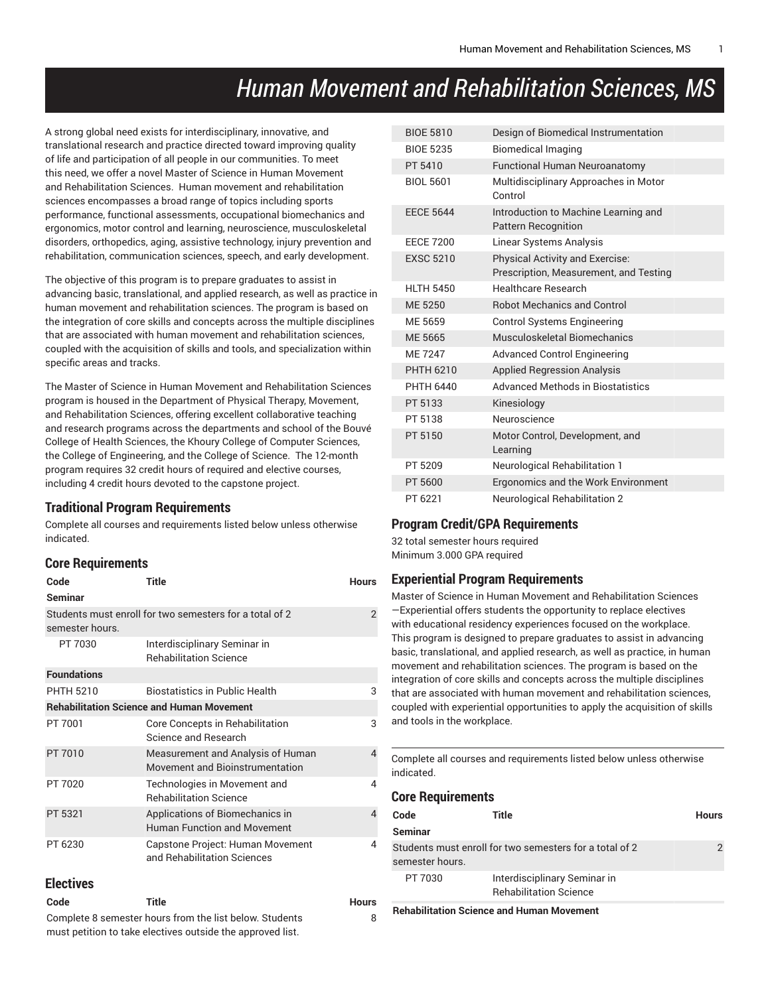# *Human Movement and Rehabilitation Sciences, MS*

A strong global need exists for interdisciplinary, innovative, and translational research and practice directed toward improving quality of life and participation of all people in our communities. To meet this need, we offer a novel Master of Science in Human Movement and Rehabilitation Sciences. Human movement and rehabilitation sciences encompasses a broad range of topics including sports performance, functional assessments, occupational biomechanics and ergonomics, motor control and learning, neuroscience, musculoskeletal disorders, orthopedics, aging, assistive technology, injury prevention and rehabilitation, communication sciences, speech, and early development.

The objective of this program is to prepare graduates to assist in advancing basic, translational, and applied research, as well as practice in human movement and rehabilitation sciences. The program is based on the integration of core skills and concepts across the multiple disciplines that are associated with human movement and rehabilitation sciences, coupled with the acquisition of skills and tools, and specialization within specific areas and tracks.

The Master of Science in Human Movement and Rehabilitation Sciences program is housed in the Department of Physical Therapy, Movement, and Rehabilitation Sciences, offering excellent collaborative teaching and research programs across the departments and school of the Bouvé College of Health Sciences, the Khoury College of Computer Sciences, the College of Engineering, and the College of Science. The 12-month program requires 32 credit hours of required and elective courses, including 4 credit hours devoted to the capstone project.

#### **Traditional Program Requirements**

Complete all courses and requirements listed below unless otherwise indicated.

#### **Core Requirements**

| Code<br><b>Seminar</b>                                  | <b>Title</b>                                                          | <b>Hours</b>   |  |
|---------------------------------------------------------|-----------------------------------------------------------------------|----------------|--|
| semester hours.                                         | Students must enroll for two semesters for a total of 2               | $\overline{2}$ |  |
| PT 7030                                                 | Interdisciplinary Seminar in<br><b>Rehabilitation Science</b>         |                |  |
| <b>Foundations</b>                                      |                                                                       |                |  |
| <b>PHTH 5210</b>                                        | <b>Biostatistics in Public Health</b>                                 | 3              |  |
| <b>Rehabilitation Science and Human Movement</b>        |                                                                       |                |  |
| PT 7001                                                 | Core Concepts in Rehabilitation<br>Science and Research               | 3              |  |
| PT 7010                                                 | Measurement and Analysis of Human<br>Movement and Bioinstrumentation  | 4              |  |
| PT 7020                                                 | Technologies in Movement and<br><b>Rehabilitation Science</b>         | 4              |  |
| PT 5321                                                 | Applications of Biomechanics in<br><b>Human Function and Movement</b> | $\overline{4}$ |  |
| PT 6230                                                 | Capstone Project: Human Movement<br>and Rehabilitation Sciences       | 4              |  |
| <b>Electives</b>                                        |                                                                       |                |  |
| Code                                                    | <b>Title</b>                                                          | <b>Hours</b>   |  |
| Complete 8 semester hours from the list below. Students | 8                                                                     |                |  |

| Complete 8 semester hours from the list below. Students    |
|------------------------------------------------------------|
| must petition to take electives outside the approved list. |

| <b>BIOE 5810</b> | Design of Biomedical Instrumentation                                             |
|------------------|----------------------------------------------------------------------------------|
| <b>BIOE 5235</b> | <b>Biomedical Imaging</b>                                                        |
| PT 5410          | <b>Functional Human Neuroanatomy</b>                                             |
| <b>BIOL 5601</b> | Multidisciplinary Approaches in Motor<br>Control                                 |
| <b>EECE 5644</b> | Introduction to Machine Learning and<br><b>Pattern Recognition</b>               |
| <b>EECE 7200</b> | <b>Linear Systems Analysis</b>                                                   |
| <b>EXSC 5210</b> | <b>Physical Activity and Exercise:</b><br>Prescription, Measurement, and Testing |
| HI TH 5450       | Healthcare Research                                                              |
| ME 5250          | <b>Robot Mechanics and Control</b>                                               |
| ME 5659          | <b>Control Systems Engineering</b>                                               |
| ME 5665          | Musculoskeletal Biomechanics                                                     |
| MF 7247          | <b>Advanced Control Engineering</b>                                              |
| <b>PHTH 6210</b> | <b>Applied Regression Analysis</b>                                               |
| PHTH 6440        | <b>Advanced Methods in Biostatistics</b>                                         |
| PT 5133          | Kinesiology                                                                      |
| PT 5138          | Neuroscience                                                                     |
| PT 5150          | Motor Control, Development, and<br>Learning                                      |
| PT 5209          | Neurological Rehabilitation 1                                                    |
| PT 5600          | Ergonomics and the Work Environment                                              |
| PT 6221          | <b>Neurological Rehabilitation 2</b>                                             |

### **Program Credit/GPA Requirements**

32 total semester hours required Minimum 3.000 GPA required

#### **Experiential Program Requirements**

Master of Science in Human Movement and Rehabilitation Sciences —Experiential offers students the opportunity to replace electives with educational residency experiences focused on the workplace. This program is designed to prepare graduates to assist in advancing basic, translational, and applied research, as well as practice, in human movement and rehabilitation sciences. The program is based on the integration of core skills and concepts across the multiple disciplines that are associated with human movement and rehabilitation sciences, coupled with experiential opportunities to apply the acquisition of skills and tools in the workplace.

Complete all courses and requirements listed below unless otherwise indicated.

#### **Core Requirements**

| Code            | Title                                                         | <b>Hours</b> |
|-----------------|---------------------------------------------------------------|--------------|
| <b>Seminar</b>  |                                                               |              |
| semester hours. | Students must enroll for two semesters for a total of 2       | 2            |
| PT 7030         | Interdisciplinary Seminar in<br><b>Rehabilitation Science</b> |              |
|                 |                                                               |              |

**Rehabilitation Science and Human Movement**